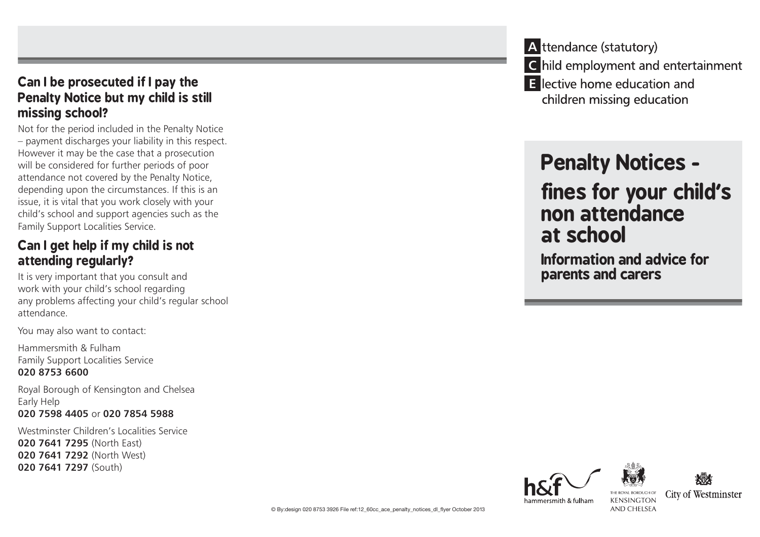#### **Can I be prosecuted if I pay the Penalty Notice but my child is still missing school?**

Not for the period included in the Penalty Notice – payment discharges your liability in this respect. However it may be the case that a prosecution will be considered for further periods of poor attendance not covered by the Penalty Notice, depending upon the circumstances. If this is an issue, it is vital that you work closely with your child's school and support agencies such as the Family Support Localities Service.

#### **Can I get help if my child is not attending regularly?**

It is very important that you consult and work with your child's school regarding any problems affecting your child's regular school attendance.

You may also want to contact:

Hammersmith & Fulham Family Support Localities Service **020 8753 6600**

Royal Borough of Kensington and Chelsea Early Help **020 7598 4405** or **020 7854 5988**

Westminster Children's Localities Service **020 7641 7295** (North East) **020 7641 7292** (North West) **020 7641 7297** (South)

**A** ttendance (statutory) **C** hild employment and entertainment **E** lective home education and children missing education

# **Penalty Notices -**

## **fines for your child's non attendance at school**

**Information and advice for parents and carers**





hammersmith & fulham

**City of Westminster KENSINGTON** AND CHELSEA